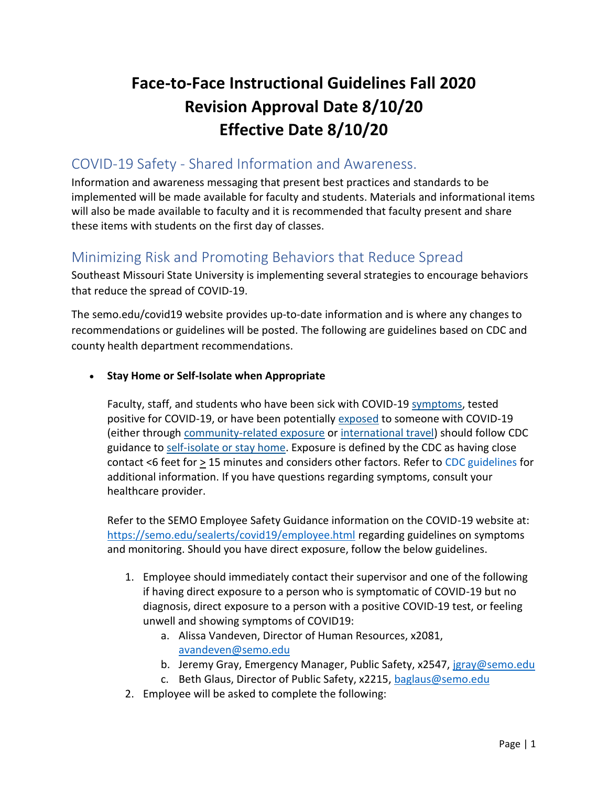# **Face-to-Face Instructional Guidelines Fall 2020 Revision Approval Date 8/10/20 Effective Date 8/10/20**

### COVID-19 Safety - Shared Information and Awareness.

Information and awareness messaging that present best practices and standards to be implemented will be made available for faculty and students. Materials and informational items will also be made available to faculty and it is recommended that faculty present and share these items with students on the first day of classes.

### Minimizing Risk and Promoting Behaviors that Reduce Spread

Southeast Missouri State University is implementing several strategies to encourage behaviors that reduce the spread of COVID-19.

The semo.edu/covid19 website provides up-to-date information and is where any changes to recommendations or guidelines will be posted. The following are guidelines based on CDC and county health department recommendations.

#### • **Stay Home or Self-Isolate when Appropriate**

Faculty, staff, and students who have been sick with COVID-19 [symptoms,](https://www.cdc.gov/coronavirus/2019-ncov/symptoms-testing/symptoms.html) tested positive for COVID-19, or have been potentially [exposed](https://www.cdc.gov/coronavirus/2019-ncov/php/public-health-recommendations.html) to someone with COVID-19 (either through [community-related exposure](https://www.cdc.gov/coronavirus/2019-ncov/php/public-health-recommendations.html) or [international travel\)](https://www.cdc.gov/coronavirus/2019-ncov/php/risk-assessment.html) should follow CDC guidance to [self-isolate or stay home.](https://www.cdc.gov/coronavirus/2019-ncov/if-you-are-sick/quarantine-isolation.html) Exposure is defined by the CDC as having close contact <6 feet for  $\geq$  15 minutes and considers other factors. Refer to [CDC guidelines](https://www.cdc.gov/coronavirus/2019-ncov/php/public-health-recommendations.html) for additional information. If you have questions regarding symptoms, consult your healthcare provider.

Refer to the SEMO Employee Safety Guidance information on the COVID-19 website at: <https://semo.edu/sealerts/covid19/employee.html> regarding guidelines on symptoms and monitoring. Should you have direct exposure, follow the below guidelines.

- 1. Employee should immediately contact their supervisor and one of the following if having direct exposure to a person who is symptomatic of COVID-19 but no diagnosis, direct exposure to a person with a positive COVID-19 test, or feeling unwell and showing symptoms of COVID19:
	- a. Alissa Vandeven, Director of Human Resources, x2081, [avandeven@semo.edu](mailto:avandeven@semo.edu)
	- b. Jeremy Gray, Emergency Manager, Public Safety, x2547, [jgray@semo.edu](mailto:jgray@semo.edu)
	- c. Beth Glaus, Director of Public Safety, x2215, [baglaus@semo.edu](mailto:baglaus@semo.edu)
- 2. Employee will be asked to complete the following: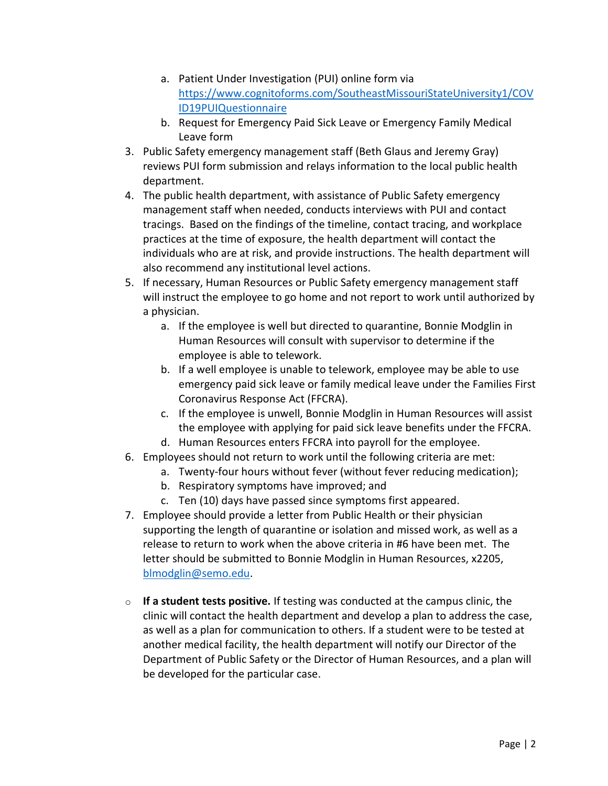- a. Patient Under Investigation (PUI) online form via [https://www.cognitoforms.com/SoutheastMissouriStateUniversity1/COV](https://www.cognitoforms.com/SoutheastMissouriStateUniversity1/COVID19PUIQuestionnaire) [ID19PUIQuestionnaire](https://www.cognitoforms.com/SoutheastMissouriStateUniversity1/COVID19PUIQuestionnaire)
- b. Request for Emergency Paid Sick Leave or Emergency Family Medical Leave form
- 3. Public Safety emergency management staff (Beth Glaus and Jeremy Gray) reviews PUI form submission and relays information to the local public health department.
- 4. The public health department, with assistance of Public Safety emergency management staff when needed, conducts interviews with PUI and contact tracings. Based on the findings of the timeline, contact tracing, and workplace practices at the time of exposure, the health department will contact the individuals who are at risk, and provide instructions. The health department will also recommend any institutional level actions.
- 5. If necessary, Human Resources or Public Safety emergency management staff will instruct the employee to go home and not report to work until authorized by a physician.
	- a. If the employee is well but directed to quarantine, Bonnie Modglin in Human Resources will consult with supervisor to determine if the employee is able to telework.
	- b. If a well employee is unable to telework, employee may be able to use emergency paid sick leave or family medical leave under the Families First Coronavirus Response Act (FFCRA).
	- c. If the employee is unwell, Bonnie Modglin in Human Resources will assist the employee with applying for paid sick leave benefits under the FFCRA.
	- d. Human Resources enters FFCRA into payroll for the employee.
- 6. Employees should not return to work until the following criteria are met:
	- a. Twenty-four hours without fever (without fever reducing medication);
	- b. Respiratory symptoms have improved; and
	- c. Ten (10) days have passed since symptoms first appeared.
- 7. Employee should provide a letter from Public Health or their physician supporting the length of quarantine or isolation and missed work, as well as a release to return to work when the above criteria in #6 have been met. The letter should be submitted to Bonnie Modglin in Human Resources, x2205, [blmodglin@semo.edu.](mailto:blmodglin@semo.edu)
- $\circ$  **If a student tests positive.** If testing was conducted at the campus clinic, the clinic will contact the health department and develop a plan to address the case, as well as a plan for communication to others. If a student were to be tested at another medical facility, the health department will notify our Director of the Department of Public Safety or the Director of Human Resources, and a plan will be developed for the particular case.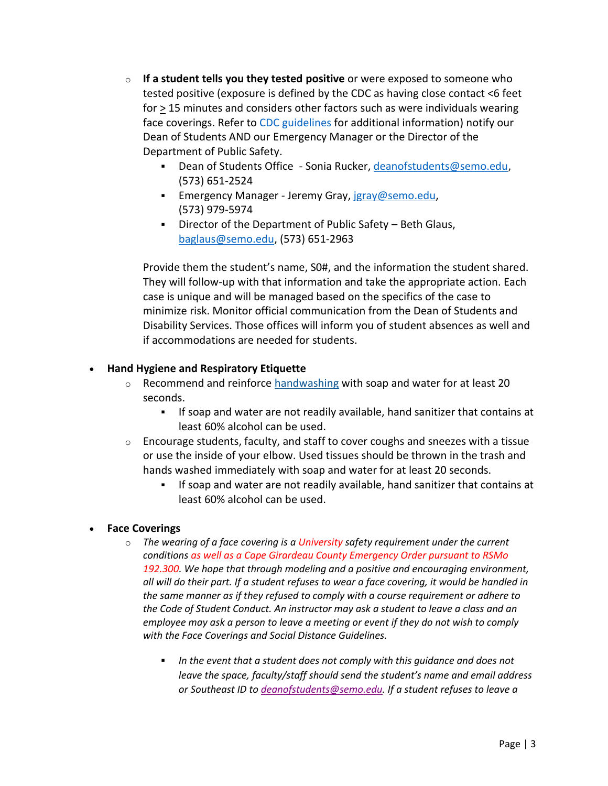- o **If a student tells you they tested positive** or were exposed to someone who tested positive (exposure is defined by the CDC as having close contact <6 feet for > 15 minutes and considers other factors such as were individuals wearing face coverings. Refer to [CDC guidelines](https://www.cdc.gov/coronavirus/2019-ncov/php/public-health-recommendations.html) for additional information) notify our Dean of Students AND our Emergency Manager or the Director of the Department of Public Safety.
	- Dean of Students Office Sonia Rucker, [deanofstudents@semo.edu,](mailto:deanofstudents@semo.edu) (573) 651-2524
	- **Emergency Manager Jeremy Gray, jaray@semo.edu,** (573) 979-5974
	- Director of the Department of Public Safety Beth Glaus, [baglaus@semo.edu,](mailto:baglaus@semo.edu) (573) 651-2963

Provide them the student's name, S0#, and the information the student shared. They will follow-up with that information and take the appropriate action. Each case is unique and will be managed based on the specifics of the case to minimize risk. Monitor official communication from the Dean of Students and Disability Services. Those offices will inform you of student absences as well and if accommodations are needed for students.

#### • **Hand Hygiene and Respiratory Etiquette**

- o Recommend and reinforce [handwashing](https://www.cdc.gov/handwashing/when-how-handwashing.html) with soap and water for at least 20 seconds.
	- If soap and water are not readily available, hand sanitizer that contains at least 60% alcohol can be used.
- $\circ$  Encourage students, faculty, and staff to cover coughs and sneezes with a tissue or use the inside of your elbow. Used tissues should be thrown in the trash and hands washed immediately with soap and water for at least 20 seconds.
	- If soap and water are not readily available, hand sanitizer that contains at least 60% alcohol can be used.

#### • **Face Coverings**

- o *The wearing of a face covering is a University safety requirement under the current conditions as well as a Cape Girardeau County Emergency Order pursuant to RSMo 192.300. We hope that through modeling and a positive and encouraging environment, all will do their part. If a student refuses to wear a face covering, it would be handled in the same manner as if they refused to comply with a course requirement or adhere to the Code of Student Conduct. An instructor may ask a student to leave a class and an employee may ask a person to leave a meeting or event if they do not wish to comply with the Face Coverings and Social Distance Guidelines.* 
	- In the event that a student does not comply with this guidance and does not *leave the space, faculty/staff should send the student's name and email address or Southeast ID to [deanofstudents@semo.edu.](mailto:deanofstudents@semo.edu) If a student refuses to leave a*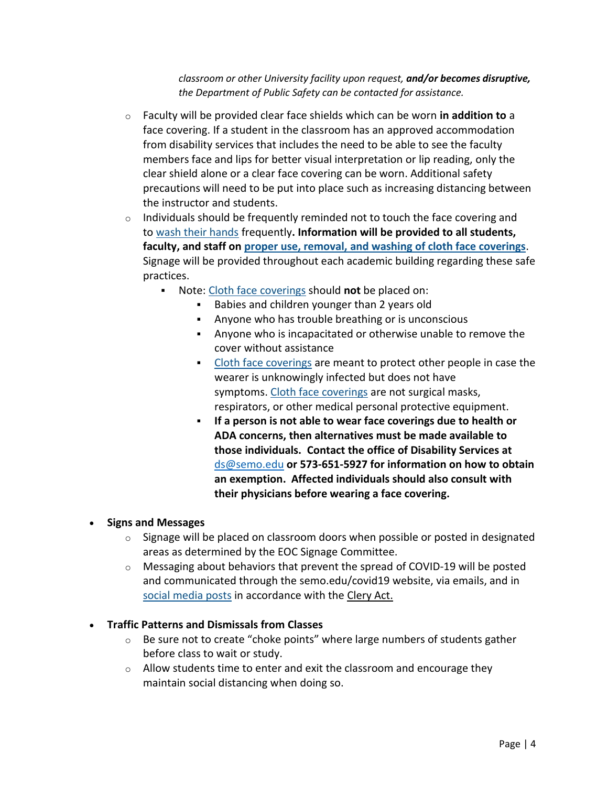*classroom or other University facility upon request, and/or becomes disruptive, the Department of Public Safety can be contacted for assistance.*

- o Faculty will be provided clear face shields which can be worn **in addition to** a face covering. If a student in the classroom has an approved accommodation from disability services that includes the need to be able to see the faculty members face and lips for better visual interpretation or lip reading, only the clear shield alone or a clear face covering can be worn. Additional safety precautions will need to be put into place such as increasing distancing between the instructor and students.
- $\circ$  Individuals should be frequently reminded not to touch the face covering and to [wash their hands](https://www.cdc.gov/handwashing/when-how-handwashing.html) frequently**. Information will be provided to all students, faculty, and staff on proper use, removal, [and washing of cloth face coverings](https://www.cdc.gov/coronavirus/2019-ncov/prevent-getting-sick/diy-cloth-face-coverings.html)**. Signage will be provided throughout each academic building regarding these safe practices.
	- Note: [Cloth face coverings](https://www.cdc.gov/coronavirus/2019-ncov/prevent-getting-sick/diy-cloth-face-coverings.html) should **not** be placed on:
		- Babies and children younger than 2 years old
		- Anyone who has trouble breathing or is unconscious
		- Anyone who is incapacitated or otherwise unable to remove the cover without assistance
		- [Cloth face coverings](https://www.cdc.gov/coronavirus/2019-ncov/prevent-getting-sick/diy-cloth-face-coverings.html) are meant to protect other people in case the wearer is unknowingly infected but does not have symptoms. [Cloth face coverings](https://www.cdc.gov/coronavirus/2019-ncov/prevent-getting-sick/diy-cloth-face-coverings.html) are not surgical masks, respirators, or other medical personal protective equipment.
		- **If a person is not able to wear face coverings due to health or ADA concerns, then alternatives must be made available to those individuals. Contact the office of Disability Services at**  [ds@semo.edu](mailto:ds@semo.edu) **or 573-651-5927 for information on how to obtain an exemption. Affected individuals should also consult with their physicians before wearing a face covering.**

#### • **Signs and Messages**

- $\circ$  Signage will be placed on classroom doors when possible or posted in designated areas as determined by the EOC Signage Committee.
- $\circ$  Messaging about behaviors that prevent the spread of COVID-19 will be posted and communicated through the semo.edu/covid19 website, via emails, and in social media posts in accordance with the [Clery Act.](https://www2.ed.gov/admins/lead/safety/campus.html)

#### • **Traffic Patterns and Dismissals from Classes**

- $\circ$  Be sure not to create "choke points" where large numbers of students gather before class to wait or study.
- o Allow students time to enter and exit the classroom and encourage they maintain social distancing when doing so.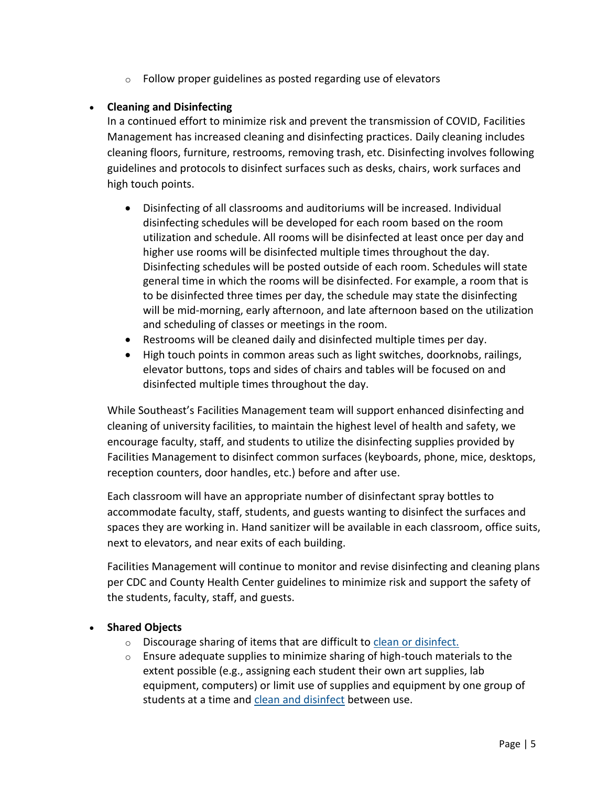o Follow proper guidelines as posted regarding use of elevators

#### • **Cleaning and Disinfecting**

In a continued effort to minimize risk and prevent the transmission of COVID, Facilities Management has increased cleaning and disinfecting practices. Daily cleaning includes cleaning floors, furniture, restrooms, removing trash, etc. Disinfecting involves following guidelines and protocols to disinfect surfaces such as desks, chairs, work surfaces and high touch points.

- Disinfecting of all classrooms and auditoriums will be increased. Individual disinfecting schedules will be developed for each room based on the room utilization and schedule. All rooms will be disinfected at least once per day and higher use rooms will be disinfected multiple times throughout the day. Disinfecting schedules will be posted outside of each room. Schedules will state general time in which the rooms will be disinfected. For example, a room that is to be disinfected three times per day, the schedule may state the disinfecting will be mid-morning, early afternoon, and late afternoon based on the utilization and scheduling of classes or meetings in the room.
- Restrooms will be cleaned daily and disinfected multiple times per day.
- High touch points in common areas such as light switches, doorknobs, railings, elevator buttons, tops and sides of chairs and tables will be focused on and disinfected multiple times throughout the day.

While Southeast's Facilities Management team will support enhanced disinfecting and cleaning of university facilities, to maintain the highest level of health and safety, we encourage faculty, staff, and students to utilize the disinfecting supplies provided by Facilities Management to disinfect common surfaces (keyboards, phone, mice, desktops, reception counters, door handles, etc.) before and after use.

Each classroom will have an appropriate number of disinfectant spray bottles to accommodate faculty, staff, students, and guests wanting to disinfect the surfaces and spaces they are working in. Hand sanitizer will be available in each classroom, office suits, next to elevators, and near exits of each building.

Facilities Management will continue to monitor and revise disinfecting and cleaning plans per CDC and County Health Center guidelines to minimize risk and support the safety of the students, faculty, staff, and guests.

#### • **Shared Objects**

- o Discourage sharing of items that are difficult to [clean or disinfect.](https://www.cdc.gov/coronavirus/2019-ncov/community/clean-disinfect/index.html)
- $\circ$  Ensure adequate supplies to minimize sharing of high-touch materials to the extent possible (e.g., assigning each student their own art supplies, lab equipment, computers) or limit use of supplies and equipment by one group of students at a time and [clean and disinfect](https://www.cdc.gov/coronavirus/2019-ncov/community/reopen-guidance.html) between use.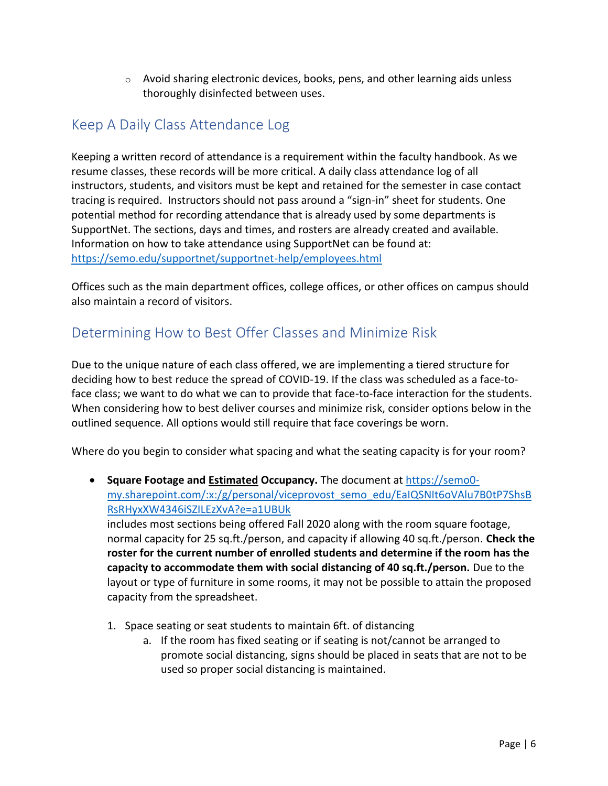$\circ$  Avoid sharing electronic devices, books, pens, and other learning aids unless thoroughly disinfected between uses.

## Keep A Daily Class Attendance Log

Keeping a written record of attendance is a requirement within the faculty handbook. As we resume classes, these records will be more critical. A daily class attendance log of all instructors, students, and visitors must be kept and retained for the semester in case contact tracing is required. Instructors should not pass around a "sign-in" sheet for students. One potential method for recording attendance that is already used by some departments is SupportNet. The sections, days and times, and rosters are already created and available. Information on how to take attendance using SupportNet can be found at: <https://semo.edu/supportnet/supportnet-help/employees.html>

Offices such as the main department offices, college offices, or other offices on campus should also maintain a record of visitors.

# Determining How to Best Offer Classes and Minimize Risk

Due to the unique nature of each class offered, we are implementing a tiered structure for deciding how to best reduce the spread of COVID-19. If the class was scheduled as a face-toface class; we want to do what we can to provide that face-to-face interaction for the students. When considering how to best deliver courses and minimize risk, consider options below in the outlined sequence. All options would still require that face coverings be worn.

Where do you begin to consider what spacing and what the seating capacity is for your room?

• **Square Footage and Estimated Occupancy.** The document a[t https://semo0](https://semo0-my.sharepoint.com/:x:/g/personal/viceprovost_semo_edu/EaIQSNIt6oVAlu7B0tP7ShsBRsRHyxXW4346iSZILEzXvA?e=a1UBUk) [my.sharepoint.com/:x:/g/personal/viceprovost\\_semo\\_edu/EaIQSNIt6oVAlu7B0tP7ShsB](https://semo0-my.sharepoint.com/:x:/g/personal/viceprovost_semo_edu/EaIQSNIt6oVAlu7B0tP7ShsBRsRHyxXW4346iSZILEzXvA?e=a1UBUk) [RsRHyxXW4346iSZILEzXvA?e=a1UBUk](https://semo0-my.sharepoint.com/:x:/g/personal/viceprovost_semo_edu/EaIQSNIt6oVAlu7B0tP7ShsBRsRHyxXW4346iSZILEzXvA?e=a1UBUk) includes most sections being offered Fall 2020 along with the room square footage, normal capacity for 25 sq.ft./person, and capacity if allowing 40 sq.ft./person. **Check the**

**roster for the current number of enrolled students and determine if the room has the capacity to accommodate them with social distancing of 40 sq.ft./person.** Due to the layout or type of furniture in some rooms, it may not be possible to attain the proposed capacity from the spreadsheet.

- 1. Space seating or seat students to maintain 6ft. of distancing
	- a. If the room has fixed seating or if seating is not/cannot be arranged to promote social distancing, signs should be placed in seats that are not to be used so proper social distancing is maintained.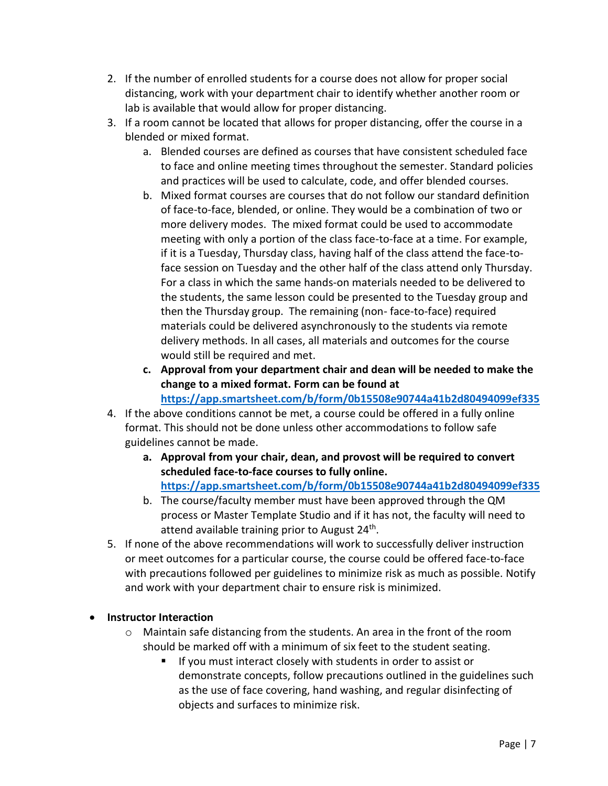- 2. If the number of enrolled students for a course does not allow for proper social distancing, work with your department chair to identify whether another room or lab is available that would allow for proper distancing.
- 3. If a room cannot be located that allows for proper distancing, offer the course in a blended or mixed format.
	- a. Blended courses are defined as courses that have consistent scheduled face to face and online meeting times throughout the semester. Standard policies and practices will be used to calculate, code, and offer blended courses.
	- b. Mixed format courses are courses that do not follow our standard definition of face-to-face, blended, or online. They would be a combination of two or more delivery modes. The mixed format could be used to accommodate meeting with only a portion of the class face-to-face at a time. For example, if it is a Tuesday, Thursday class, having half of the class attend the face-toface session on Tuesday and the other half of the class attend only Thursday. For a class in which the same hands-on materials needed to be delivered to the students, the same lesson could be presented to the Tuesday group and then the Thursday group. The remaining (non- face-to-face) required materials could be delivered asynchronously to the students via remote delivery methods. In all cases, all materials and outcomes for the course would still be required and met.
	- **c. Approval from your department chair and dean will be needed to make the change to a mixed format. Form can be found at <https://app.smartsheet.com/b/form/0b15508e90744a41b2d80494099ef335>**
- 4. If the above conditions cannot be met, a course could be offered in a fully online format. This should not be done unless other accommodations to follow safe guidelines cannot be made.
	- **a. Approval from your chair, dean, and provost will be required to convert scheduled face-to-face courses to fully online. <https://app.smartsheet.com/b/form/0b15508e90744a41b2d80494099ef335>**
	- b. The course/faculty member must have been approved through the QM process or Master Template Studio and if it has not, the faculty will need to attend available training prior to August 24<sup>th</sup>.
- 5. If none of the above recommendations will work to successfully deliver instruction or meet outcomes for a particular course, the course could be offered face-to-face with precautions followed per guidelines to minimize risk as much as possible. Notify and work with your department chair to ensure risk is minimized.
- **Instructor Interaction** 
	- o Maintain safe distancing from the students. An area in the front of the room should be marked off with a minimum of six feet to the student seating.
		- If you must interact closely with students in order to assist or demonstrate concepts, follow precautions outlined in the guidelines such as the use of face covering, hand washing, and regular disinfecting of objects and surfaces to minimize risk.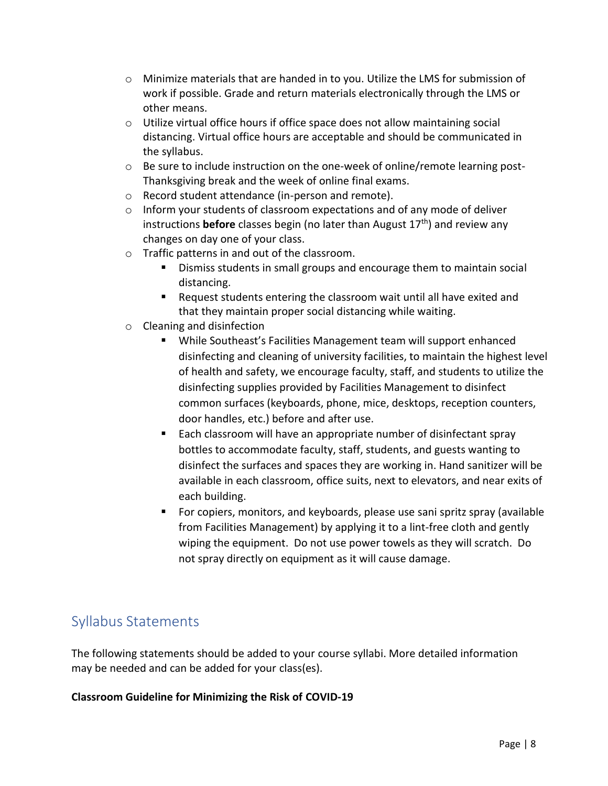- $\circ$  Minimize materials that are handed in to you. Utilize the LMS for submission of work if possible. Grade and return materials electronically through the LMS or other means.
- $\circ$  Utilize virtual office hours if office space does not allow maintaining social distancing. Virtual office hours are acceptable and should be communicated in the syllabus.
- $\circ$  Be sure to include instruction on the one-week of online/remote learning post-Thanksgiving break and the week of online final exams.
- o Record student attendance (in-person and remote).
- o Inform your students of classroom expectations and of any mode of deliver instructions **before** classes begin (no later than August 17<sup>th</sup>) and review any changes on day one of your class.
- o Traffic patterns in and out of the classroom.
	- Dismiss students in small groups and encourage them to maintain social distancing.
	- Request students entering the classroom wait until all have exited and that they maintain proper social distancing while waiting.
- o Cleaning and disinfection
	- While Southeast's Facilities Management team will support enhanced disinfecting and cleaning of university facilities, to maintain the highest level of health and safety, we encourage faculty, staff, and students to utilize the disinfecting supplies provided by Facilities Management to disinfect common surfaces (keyboards, phone, mice, desktops, reception counters, door handles, etc.) before and after use.
	- Each classroom will have an appropriate number of disinfectant spray bottles to accommodate faculty, staff, students, and guests wanting to disinfect the surfaces and spaces they are working in. Hand sanitizer will be available in each classroom, office suits, next to elevators, and near exits of each building.
	- For copiers, monitors, and keyboards, please use sani spritz spray (available from Facilities Management) by applying it to a lint-free cloth and gently wiping the equipment. Do not use power towels as they will scratch. Do not spray directly on equipment as it will cause damage.

### Syllabus Statements

The following statements should be added to your course syllabi. More detailed information may be needed and can be added for your class(es).

#### **Classroom Guideline for Minimizing the Risk of COVID-19**